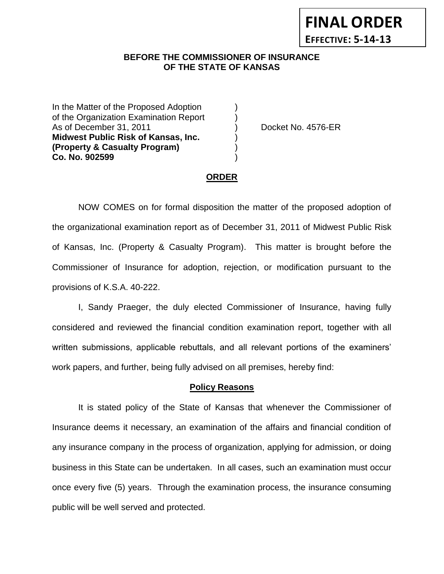## **BEFORE THE COMMISSIONER OF INSURANCE** *-12***OF THE STATE OF KANSAS**

In the Matter of the Proposed Adoption of the Organization Examination Report ) As of December 31, 2011 (a) (b) Docket No. 4576-ER **Midwest Public Risk of Kansas, Inc.** ) **(Property & Casualty Program)** ) **Co. No. 902599** )

**FINAL ORDER**

**EFFECTIVE: 5-14-13**

#### **ORDER**

NOW COMES on for formal disposition the matter of the proposed adoption of the organizational examination report as of December 31, 2011 of Midwest Public Risk of Kansas, Inc. (Property & Casualty Program). This matter is brought before the Commissioner of Insurance for adoption, rejection, or modification pursuant to the provisions of K.S.A. 40-222.

I, Sandy Praeger, the duly elected Commissioner of Insurance, having fully considered and reviewed the financial condition examination report, together with all written submissions, applicable rebuttals, and all relevant portions of the examiners' work papers, and further, being fully advised on all premises, hereby find:

#### **Policy Reasons**

It is stated policy of the State of Kansas that whenever the Commissioner of Insurance deems it necessary, an examination of the affairs and financial condition of any insurance company in the process of organization, applying for admission, or doing business in this State can be undertaken. In all cases, such an examination must occur once every five (5) years. Through the examination process, the insurance consuming public will be well served and protected.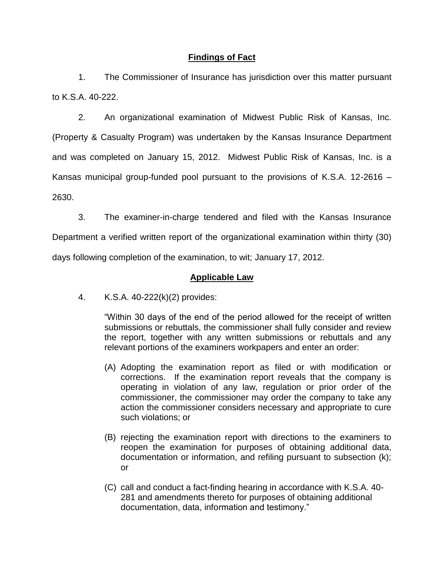## **Findings of Fact**

1. The Commissioner of Insurance has jurisdiction over this matter pursuant to K.S.A. 40-222.

2. An organizational examination of Midwest Public Risk of Kansas, Inc. (Property & Casualty Program) was undertaken by the Kansas Insurance Department and was completed on January 15, 2012. Midwest Public Risk of Kansas, Inc. is a Kansas municipal group-funded pool pursuant to the provisions of K.S.A. 12-2616 – 2630.

3. The examiner-in-charge tendered and filed with the Kansas Insurance

Department a verified written report of the organizational examination within thirty (30) days following completion of the examination, to wit; January 17, 2012.

## **Applicable Law**

4. K.S.A. 40-222(k)(2) provides:

"Within 30 days of the end of the period allowed for the receipt of written submissions or rebuttals, the commissioner shall fully consider and review the report, together with any written submissions or rebuttals and any relevant portions of the examiners workpapers and enter an order:

- (A) Adopting the examination report as filed or with modification or corrections. If the examination report reveals that the company is operating in violation of any law, regulation or prior order of the commissioner, the commissioner may order the company to take any action the commissioner considers necessary and appropriate to cure such violations; or
- (B) rejecting the examination report with directions to the examiners to reopen the examination for purposes of obtaining additional data, documentation or information, and refiling pursuant to subsection (k); or
- (C) call and conduct a fact-finding hearing in accordance with K.S.A. 40- 281 and amendments thereto for purposes of obtaining additional documentation, data, information and testimony."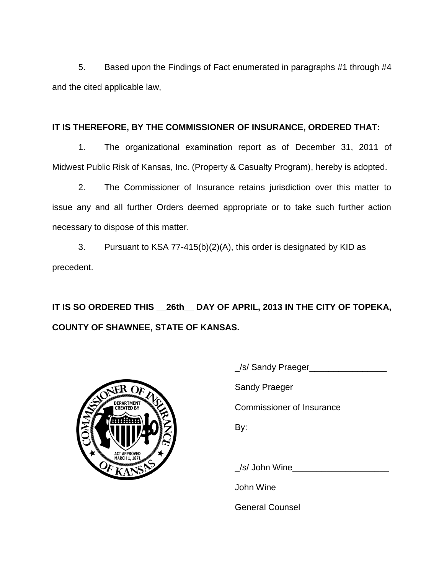5. Based upon the Findings of Fact enumerated in paragraphs #1 through #4 and the cited applicable law,

## **IT IS THEREFORE, BY THE COMMISSIONER OF INSURANCE, ORDERED THAT:**

1. The organizational examination report as of December 31, 2011 of Midwest Public Risk of Kansas, Inc. (Property & Casualty Program), hereby is adopted.

2. The Commissioner of Insurance retains jurisdiction over this matter to issue any and all further Orders deemed appropriate or to take such further action necessary to dispose of this matter.

3. Pursuant to KSA 77-415(b)(2)(A), this order is designated by KID as precedent.

**IT IS SO ORDERED THIS \_\_26th\_\_ DAY OF APRIL, 2013 IN THE CITY OF TOPEKA, COUNTY OF SHAWNEE, STATE OF KANSAS.**



| LISSE<br><b>DEPARTMENT</b><br><b>CREATED BY</b><br><b>ACT APPROVED</b> | _/s/ Sandy Praeger_              |
|------------------------------------------------------------------------|----------------------------------|
|                                                                        | <b>Sandy Praeger</b>             |
|                                                                        | <b>Commissioner of Insurance</b> |
|                                                                        | By:                              |
|                                                                        | $\angle$ s/ John Wine            |
|                                                                        | John Wine                        |

General Counsel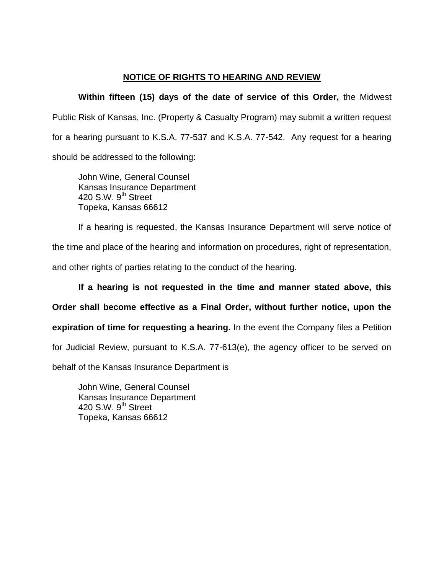# **NOTICE OF RIGHTS TO HEARING AND REVIEW**

**Within fifteen (15) days of the date of service of this Order,** the Midwest Public Risk of Kansas, Inc. (Property & Casualty Program) may submit a written request for a hearing pursuant to K.S.A. 77-537 and K.S.A. 77-542. Any request for a hearing should be addressed to the following:

John Wine, General Counsel Kansas Insurance Department  $420$  S.W.  $9^{th}$  Street Topeka, Kansas 66612

If a hearing is requested, the Kansas Insurance Department will serve notice of the time and place of the hearing and information on procedures, right of representation, and other rights of parties relating to the conduct of the hearing.

**If a hearing is not requested in the time and manner stated above, this Order shall become effective as a Final Order, without further notice, upon the expiration of time for requesting a hearing.** In the event the Company files a Petition for Judicial Review, pursuant to K.S.A. 77-613(e), the agency officer to be served on

behalf of the Kansas Insurance Department is

John Wine, General Counsel Kansas Insurance Department 420 S.W.  $9<sup>th</sup>$  Street Topeka, Kansas 66612